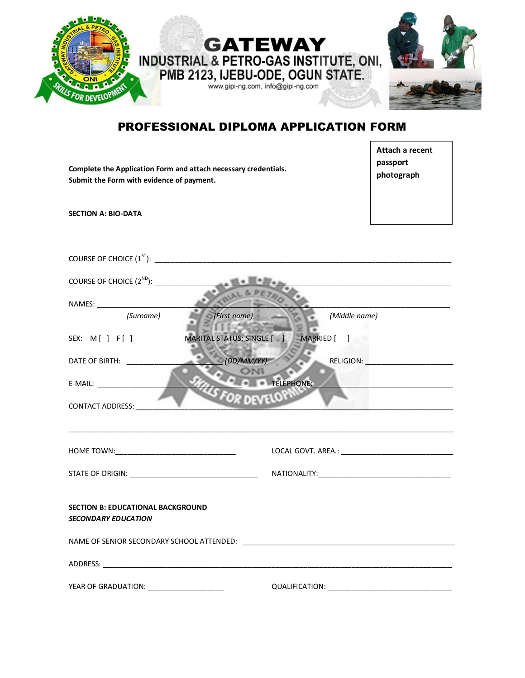

## PROFESSIONAL DIPLOMA APPLICATION FORM

 $\Gamma$ 

٦

| Complete the Application Form and attach necessary credentials.<br>Submit the Form with evidence of payment. |                                        | Attach a recent<br>passport<br>photograph                                                                            |
|--------------------------------------------------------------------------------------------------------------|----------------------------------------|----------------------------------------------------------------------------------------------------------------------|
| <b>SECTION A: BIO-DATA</b>                                                                                   |                                        |                                                                                                                      |
|                                                                                                              |                                        |                                                                                                                      |
|                                                                                                              |                                        | <u> 1980 - Johann John Harry Harry Harry Harry Harry Harry Harry Harry Harry Harry Harry Harry Harry Harry Harry</u> |
|                                                                                                              |                                        |                                                                                                                      |
| (Surname)<br>(First name)                                                                                    | (Middle name)                          |                                                                                                                      |
| SEX: $M[\ ]F[\ ]$                                                                                            | MARITAL STATUS: SINGLE [ ] MARRIED [ ] |                                                                                                                      |
| O(DD/MM/YY)                                                                                                  |                                        |                                                                                                                      |
| E-MAIL: _____________________<br>OR DEVELOT<br><b>CONTACT ADDRESS:</b>                                       | TELEPHONE:                             | <u> 2008 - Jan Barnett, mars eta bainar eta politikaria (h. 1878).</u>                                               |
|                                                                                                              |                                        |                                                                                                                      |
|                                                                                                              |                                        |                                                                                                                      |
| <b>SECTION B: EDUCATIONAL BACKGROUND</b><br><b>SECONDARY EDUCATION</b>                                       |                                        |                                                                                                                      |
| YEAR OF GRADUATION: _____________________                                                                    |                                        |                                                                                                                      |
|                                                                                                              |                                        |                                                                                                                      |